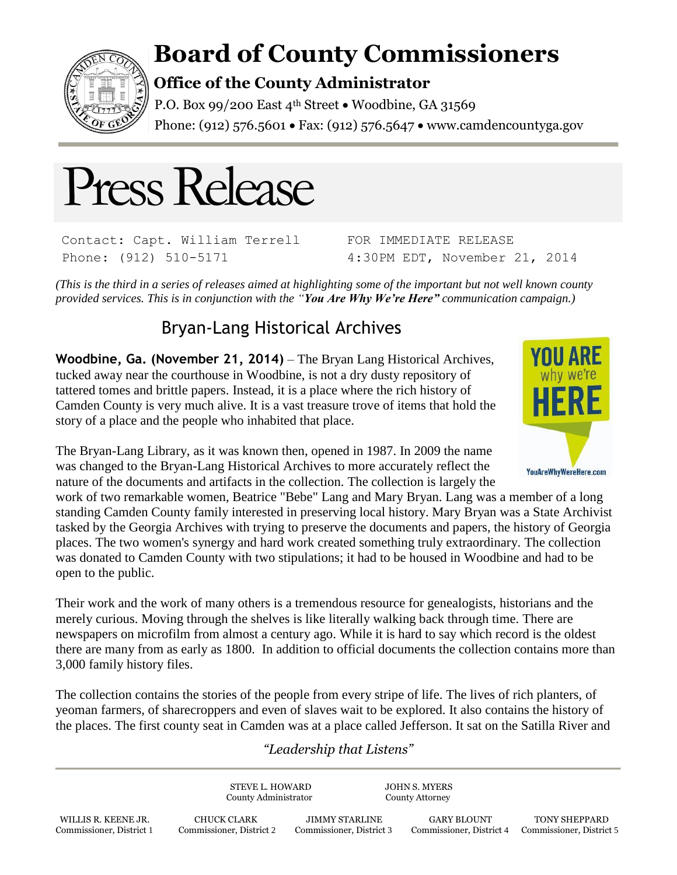

## **Board of County Commissioners**

## **Office of the County Administrator**

P.O. Box 99/200 East 4<sup>th</sup> Street . Woodbine, GA 31569 Phone: (912) 576.5601 • Fax: (912) 576.5647 • www.camdencountyga.gov



Contact: Capt. William Terrell Phone: (912) 510-5171

FOR IMMEDIATE RELEASE 4:30PM EDT, November 21, 2014

*(This is the third in a series of releases aimed at highlighting some of the important but not well known county provided services. This is in conjunction with the "You Are Why We're Here" communication campaign.)*

## Bryan-Lang Historical Archives

**Woodbine, Ga. (November 21, 2014)** – The Bryan Lang Historical Archives, tucked away near the courthouse in Woodbine, is not a dry dusty repository of tattered tomes and brittle papers. Instead, it is a place where the rich history of Camden County is very much alive. It is a vast treasure trove of items that hold the story of a place and the people who inhabited that place.



The Bryan-Lang Library, as it was known then, opened in 1987. In 2009 the name was changed to the Bryan-Lang Historical Archives to more accurately reflect the nature of the documents and artifacts in the collection. The collection is largely the

work of two remarkable women, Beatrice "Bebe" Lang and Mary Bryan. Lang was a member of a long standing Camden County family interested in preserving local history. Mary Bryan was a State Archivist tasked by the Georgia Archives with trying to preserve the documents and papers, the history of Georgia places. The two women's synergy and hard work created something truly extraordinary. The collection was donated to Camden County with two stipulations; it had to be housed in Woodbine and had to be open to the public.

Their work and the work of many others is a tremendous resource for genealogists, historians and the merely curious. Moving through the shelves is like literally walking back through time. There are newspapers on microfilm from almost a century ago. While it is hard to say which record is the oldest there are many from as early as 1800. In addition to official documents the collection contains more than 3,000 family history files.

The collection contains the stories of the people from every stripe of life. The lives of rich planters, of yeoman farmers, of sharecroppers and even of slaves wait to be explored. It also contains the history of the places. The first county seat in Camden was at a place called Jefferson. It sat on the Satilla River and

## *"Leadership that Listens"*

STEVE L. HOWARD JOHN S. MYERS County Administrator County Attorney WILLIS R. KEENE JR. CHUCK CLARK JIMMY STARLINE GARY BLOUNT TONY SHEPPARD Commissioner, District 1 Commissioner, District 2 Commissioner, District 3 Commissioner, District 4 Commissioner, District 5